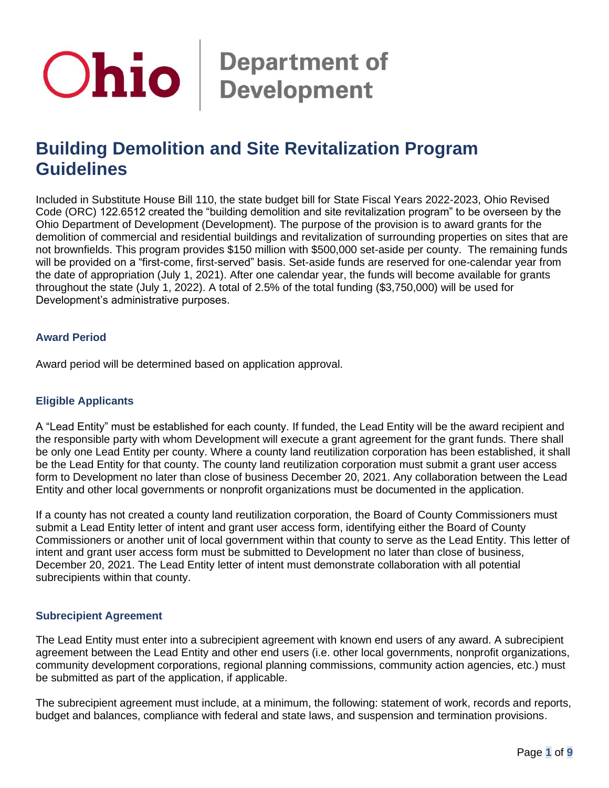# **Ohio** Bepartment of

# **Building Demolition and Site Revitalization Program Guidelines**

Included in Substitute House Bill 110, the state budget bill for State Fiscal Years 2022-2023, Ohio Revised Code (ORC) 122.6512 created the "building demolition and site revitalization program" to be overseen by the Ohio Department of Development (Development). The purpose of the provision is to award grants for the demolition of commercial and residential buildings and revitalization of surrounding properties on sites that are not brownfields. This program provides \$150 million with \$500,000 set-aside per county. The remaining funds will be provided on a "first-come, first-served" basis. Set-aside funds are reserved for one-calendar year from the date of appropriation (July 1, 2021). After one calendar year, the funds will become available for grants throughout the state (July 1, 2022). A total of 2.5% of the total funding (\$3,750,000) will be used for Development's administrative purposes.

# **Award Period**

Award period will be determined based on application approval.

# **Eligible Applicants**

A "Lead Entity" must be established for each county. If funded, the Lead Entity will be the award recipient and the responsible party with whom Development will execute a grant agreement for the grant funds. There shall be only one Lead Entity per county. Where a county land reutilization corporation has been established, it shall be the Lead Entity for that county. The county land reutilization corporation must submit a grant user access form to Development no later than close of business December 20, 2021. Any collaboration between the Lead Entity and other local governments or nonprofit organizations must be documented in the application.

If a county has not created a county land reutilization corporation, the Board of County Commissioners must submit a Lead Entity letter of intent and grant user access form, identifying either the Board of County Commissioners or another unit of local government within that county to serve as the Lead Entity. This letter of intent and grant user access form must be submitted to Development no later than close of business, December 20, 2021. The Lead Entity letter of intent must demonstrate collaboration with all potential subrecipients within that county.

#### **Subrecipient Agreement**

The Lead Entity must enter into a subrecipient agreement with known end users of any award. A subrecipient agreement between the Lead Entity and other end users (i.e. other local governments, nonprofit organizations, community development corporations, regional planning commissions, community action agencies, etc.) must be submitted as part of the application, if applicable.

The subrecipient agreement must include, at a minimum, the following: statement of work, records and reports, budget and balances, compliance with federal and state laws, and suspension and termination provisions.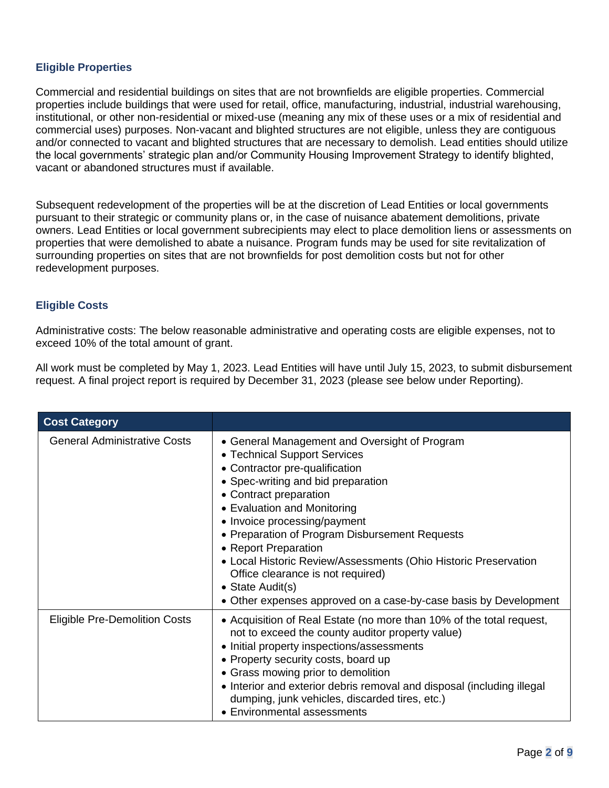# **Eligible Properties**

Commercial and residential buildings on sites that are not brownfields are eligible properties. Commercial properties include buildings that were used for retail, office, manufacturing, industrial, industrial warehousing, institutional, or other non-residential or mixed-use (meaning any mix of these uses or a mix of residential and commercial uses) purposes. Non-vacant and blighted structures are not eligible, unless they are contiguous and/or connected to vacant and blighted structures that are necessary to demolish. Lead entities should utilize the local governments' strategic plan and/or Community Housing Improvement Strategy to identify blighted, vacant or abandoned structures must if available.

Subsequent redevelopment of the properties will be at the discretion of Lead Entities or local governments pursuant to their strategic or community plans or, in the case of nuisance abatement demolitions, private owners. Lead Entities or local government subrecipients may elect to place demolition liens or assessments on properties that were demolished to abate a nuisance. Program funds may be used for site revitalization of surrounding properties on sites that are not brownfields for post demolition costs but not for other redevelopment purposes.

# **Eligible Costs**

Administrative costs: The below reasonable administrative and operating costs are eligible expenses, not to exceed 10% of the total amount of grant.

All work must be completed by May 1, 2023. Lead Entities will have until July 15, 2023, to submit disbursement request. A final project report is required by December 31, 2023 (please see below under Reporting).

| <b>Cost Category</b>                 |                                                                                                                                                                                                                                                                                                                                                                                                                                                                                                                          |
|--------------------------------------|--------------------------------------------------------------------------------------------------------------------------------------------------------------------------------------------------------------------------------------------------------------------------------------------------------------------------------------------------------------------------------------------------------------------------------------------------------------------------------------------------------------------------|
| <b>General Administrative Costs</b>  | • General Management and Oversight of Program<br>• Technical Support Services<br>• Contractor pre-qualification<br>• Spec-writing and bid preparation<br>• Contract preparation<br>• Evaluation and Monitoring<br>• Invoice processing/payment<br>• Preparation of Program Disbursement Requests<br>• Report Preparation<br>• Local Historic Review/Assessments (Ohio Historic Preservation<br>Office clearance is not required)<br>• State Audit(s)<br>• Other expenses approved on a case-by-case basis by Development |
| <b>Eligible Pre-Demolition Costs</b> | • Acquisition of Real Estate (no more than 10% of the total request,<br>not to exceed the county auditor property value)<br>• Initial property inspections/assessments<br>• Property security costs, board up<br>• Grass mowing prior to demolition<br>• Interior and exterior debris removal and disposal (including illegal<br>dumping, junk vehicles, discarded tires, etc.)<br>• Environmental assessments                                                                                                           |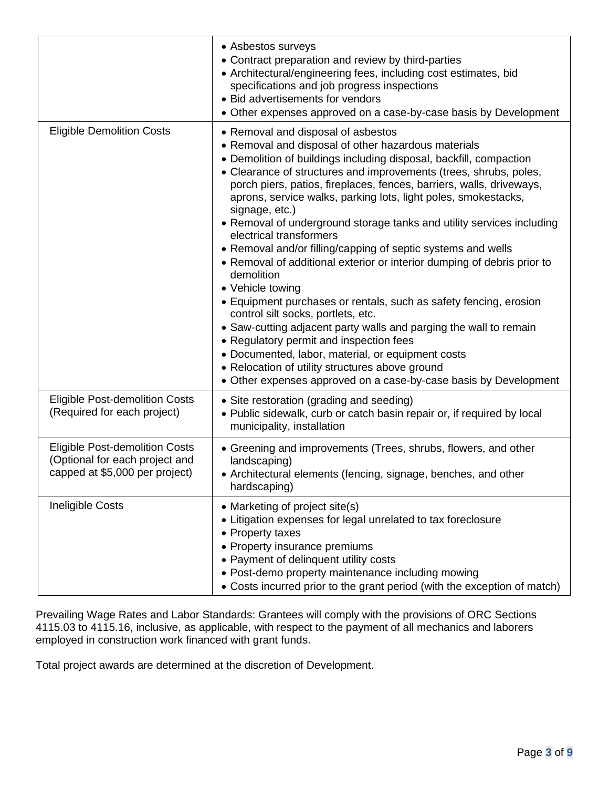|                                                                                                           | • Asbestos surveys<br>• Contract preparation and review by third-parties<br>• Architectural/engineering fees, including cost estimates, bid<br>specifications and job progress inspections<br>• Bid advertisements for vendors<br>• Other expenses approved on a case-by-case basis by Development                                                                                                                                                                                                                                                                                                                                                                                                                                                                                                                                                                                                                                                                                                                                                                                       |
|-----------------------------------------------------------------------------------------------------------|------------------------------------------------------------------------------------------------------------------------------------------------------------------------------------------------------------------------------------------------------------------------------------------------------------------------------------------------------------------------------------------------------------------------------------------------------------------------------------------------------------------------------------------------------------------------------------------------------------------------------------------------------------------------------------------------------------------------------------------------------------------------------------------------------------------------------------------------------------------------------------------------------------------------------------------------------------------------------------------------------------------------------------------------------------------------------------------|
| <b>Eligible Demolition Costs</b>                                                                          | • Removal and disposal of asbestos<br>• Removal and disposal of other hazardous materials<br>• Demolition of buildings including disposal, backfill, compaction<br>• Clearance of structures and improvements (trees, shrubs, poles,<br>porch piers, patios, fireplaces, fences, barriers, walls, driveways,<br>aprons, service walks, parking lots, light poles, smokestacks,<br>signage, etc.)<br>• Removal of underground storage tanks and utility services including<br>electrical transformers<br>• Removal and/or filling/capping of septic systems and wells<br>• Removal of additional exterior or interior dumping of debris prior to<br>demolition<br>• Vehicle towing<br>• Equipment purchases or rentals, such as safety fencing, erosion<br>control silt socks, portlets, etc.<br>• Saw-cutting adjacent party walls and parging the wall to remain<br>• Regulatory permit and inspection fees<br>• Documented, labor, material, or equipment costs<br>• Relocation of utility structures above ground<br>• Other expenses approved on a case-by-case basis by Development |
| <b>Eligible Post-demolition Costs</b><br>(Required for each project)                                      | • Site restoration (grading and seeding)<br>• Public sidewalk, curb or catch basin repair or, if required by local<br>municipality, installation                                                                                                                                                                                                                                                                                                                                                                                                                                                                                                                                                                                                                                                                                                                                                                                                                                                                                                                                         |
| <b>Eligible Post-demolition Costs</b><br>(Optional for each project and<br>capped at \$5,000 per project) | • Greening and improvements (Trees, shrubs, flowers, and other<br>landscaping)<br>• Architectural elements (fencing, signage, benches, and other<br>hardscaping)                                                                                                                                                                                                                                                                                                                                                                                                                                                                                                                                                                                                                                                                                                                                                                                                                                                                                                                         |
| <b>Ineligible Costs</b>                                                                                   | • Marketing of project site(s)<br>• Litigation expenses for legal unrelated to tax foreclosure<br>• Property taxes<br>• Property insurance premiums<br>• Payment of delinquent utility costs<br>• Post-demo property maintenance including mowing<br>• Costs incurred prior to the grant period (with the exception of match)                                                                                                                                                                                                                                                                                                                                                                                                                                                                                                                                                                                                                                                                                                                                                            |

Prevailing Wage Rates and Labor Standards: Grantees will comply with the provisions of ORC Sections 4115.03 to 4115.16, inclusive, as applicable, with respect to the payment of all mechanics and laborers employed in construction work financed with grant funds.

Total project awards are determined at the discretion of Development.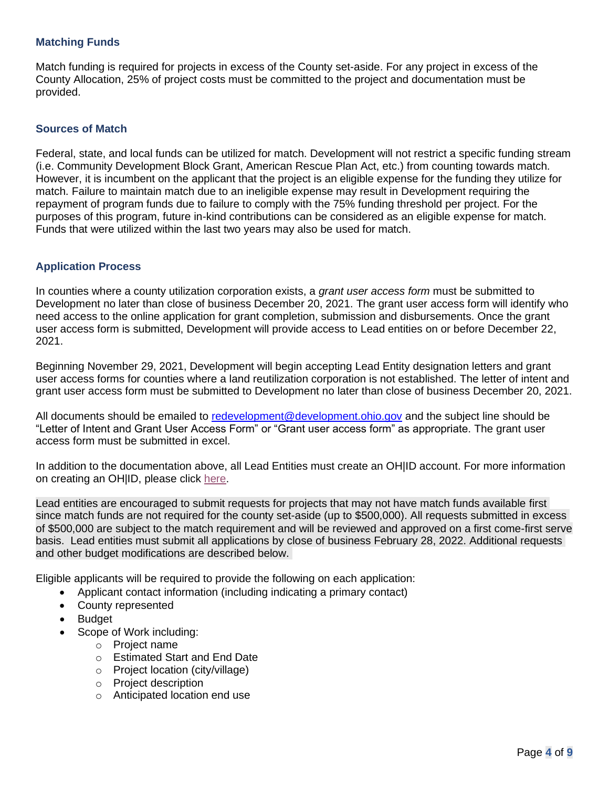# **Matching Funds**

Match funding is required for projects in excess of the County set-aside. For any project in excess of the County Allocation, 25% of project costs must be committed to the project and documentation must be provided.

#### **Sources of Match**

Federal, state, and local funds can be utilized for match. Development will not restrict a specific funding stream (i.e. Community Development Block Grant, American Rescue Plan Act, etc.) from counting towards match. However, it is incumbent on the applicant that the project is an eligible expense for the funding they utilize for match. Failure to maintain match due to an ineligible expense may result in Development requiring the repayment of program funds due to failure to comply with the 75% funding threshold per project. For the purposes of this program, future in-kind contributions can be considered as an eligible expense for match. Funds that were utilized within the last two years may also be used for match.

#### **Application Process**

In counties where a county utilization corporation exists, a *grant user access form* must be submitted to Development no later than close of business December 20, 2021. The grant user access form will identify who need access to the online application for grant completion, submission and disbursements. Once the grant user access form is submitted, Development will provide access to Lead entities on or before December 22, 2021.

Beginning November 29, 2021, Development will begin accepting Lead Entity designation letters and grant user access forms for counties where a land reutilization corporation is not established. The letter of intent and grant user access form must be submitted to Development no later than close of business December 20, 2021.

All documents should be emailed to [redevelopment@development.ohio.gov](mailto:redevelopment@development.ohio.gov) and the subject line should be "Letter of Intent and Grant User Access Form" or "Grant user access form" as appropriate. The grant user access form must be submitted in excel.

In addition to the documentation above, all Lead Entities must create an OH|ID account. For more information on creating an OH|ID, please click [here.](https://ohid.ohio.gov/wps/portal/gov/ohid/create-account/create-account)

Lead entities are encouraged to submit requests for projects that may not have match funds available first since match funds are not required for the county set-aside (up to \$500,000). All requests submitted in excess of \$500,000 are subject to the match requirement and will be reviewed and approved on a first come-first serve basis. Lead entities must submit all applications by close of business February 28, 2022. Additional requests and other budget modifications are described below.

Eligible applicants will be required to provide the following on each application:

- Applicant contact information (including indicating a primary contact)
- County represented
- Budget
- Scope of Work including:
	- o Project name
	- o Estimated Start and End Date
	- o Project location (city/village)
	- o Project description
	- o Anticipated location end use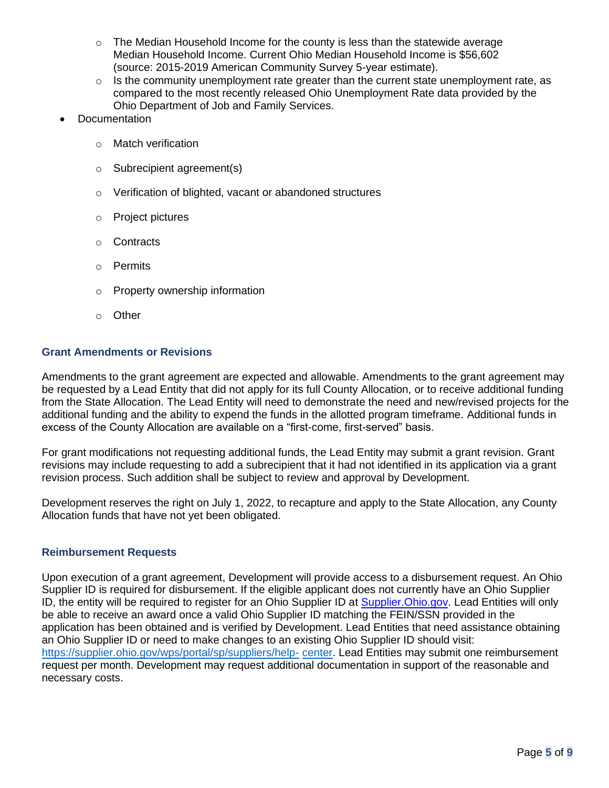- $\circ$  The Median Household Income for the county is less than the statewide average Median Household Income. Current Ohio Median Household Income is \$56,602 (source: 2015-2019 American Community Survey 5-year estimate).
- $\circ$  Is the community unemployment rate greater than the current state unemployment rate, as compared to the most recently released Ohio Unemployment Rate data provided by the Ohio Department of Job and Family Services.
- **Documentation** 
	- o Match verification
	- o Subrecipient agreement(s)
	- o Verification of blighted, vacant or abandoned structures
	- o Project pictures
	- o Contracts
	- o Permits
	- o Property ownership information
	- o Other

#### **Grant Amendments or Revisions**

Amendments to the grant agreement are expected and allowable. Amendments to the grant agreement may be requested by a Lead Entity that did not apply for its full County Allocation, or to receive additional funding from the State Allocation. The Lead Entity will need to demonstrate the need and new/revised projects for the additional funding and the ability to expend the funds in the allotted program timeframe. Additional funds in excess of the County Allocation are available on a "first-come, first-served" basis.

For grant modifications not requesting additional funds, the Lead Entity may submit a grant revision. Grant revisions may include requesting to add a subrecipient that it had not identified in its application via a grant revision process. Such addition shall be subject to review and approval by Development.

Development reserves the right on July 1, 2022, to recapture and apply to the State Allocation, any County Allocation funds that have not yet been obligated.

# **Reimbursement Requests**

Upon execution of a grant agreement, Development will provide access to a disbursement request. An Ohio Supplier ID is required for disbursement. If the eligible applicant does not currently have an Ohio Supplier ID, the entity will be required to register for an Ohio Supplier ID at **Supplier. Ohio.gov.** Lead Entities will only be able to receive an award once a valid Ohio Supplier ID matching the FEIN/SSN provided in the application has been obtained and is verified by Development. Lead Entities that need assistance obtaining an Ohio Supplier ID or need to make changes to an existing Ohio Supplier ID should visit: [https://supplier.ohio.gov/wps/portal/sp/suppliers/help-](https://supplier.ohio.gov/wps/portal/sp/suppliers/help-center) [center.](https://supplier.ohio.gov/wps/portal/sp/suppliers/help-center) Lead Entities may submit one reimbursement request per month. Development may request additional documentation in support of the reasonable and necessary costs.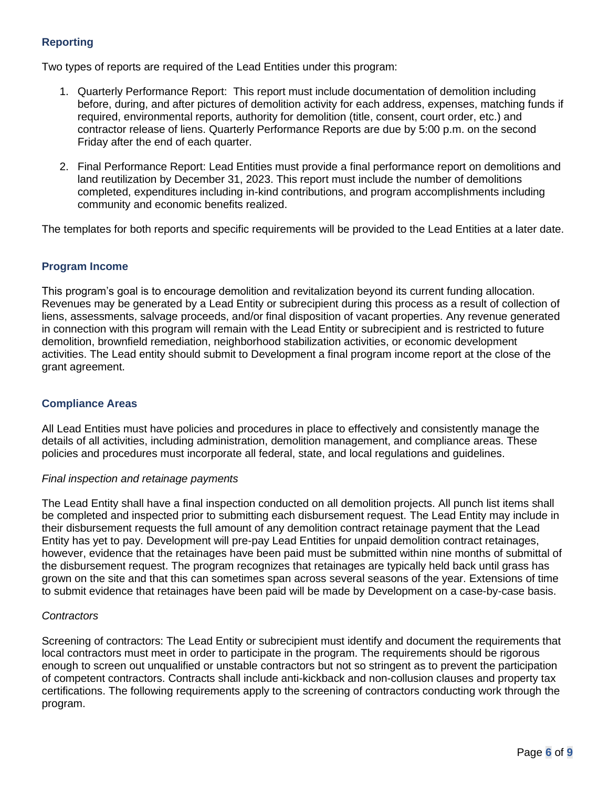# **Reporting**

Two types of reports are required of the Lead Entities under this program:

- 1. Quarterly Performance Report: This report must include documentation of demolition including before, during, and after pictures of demolition activity for each address, expenses, matching funds if required, environmental reports, authority for demolition (title, consent, court order, etc.) and contractor release of liens. Quarterly Performance Reports are due by 5:00 p.m. on the second Friday after the end of each quarter.
- 2. Final Performance Report: Lead Entities must provide a final performance report on demolitions and land reutilization by December 31, 2023. This report must include the number of demolitions completed, expenditures including in-kind contributions, and program accomplishments including community and economic benefits realized.

The templates for both reports and specific requirements will be provided to the Lead Entities at a later date.

# **Program Income**

This program's goal is to encourage demolition and revitalization beyond its current funding allocation. Revenues may be generated by a Lead Entity or subrecipient during this process as a result of collection of liens, assessments, salvage proceeds, and/or final disposition of vacant properties. Any revenue generated in connection with this program will remain with the Lead Entity or subrecipient and is restricted to future demolition, brownfield remediation, neighborhood stabilization activities, or economic development activities. The Lead entity should submit to Development a final program income report at the close of the grant agreement.

# **Compliance Areas**

All Lead Entities must have policies and procedures in place to effectively and consistently manage the details of all activities, including administration, demolition management, and compliance areas. These policies and procedures must incorporate all federal, state, and local regulations and guidelines.

#### *Final inspection and retainage payments*

The Lead Entity shall have a final inspection conducted on all demolition projects. All punch list items shall be completed and inspected prior to submitting each disbursement request. The Lead Entity may include in their disbursement requests the full amount of any demolition contract retainage payment that the Lead Entity has yet to pay. Development will pre-pay Lead Entities for unpaid demolition contract retainages, however, evidence that the retainages have been paid must be submitted within nine months of submittal of the disbursement request. The program recognizes that retainages are typically held back until grass has grown on the site and that this can sometimes span across several seasons of the year. Extensions of time to submit evidence that retainages have been paid will be made by Development on a case-by-case basis.

#### *Contractors*

Screening of contractors: The Lead Entity or subrecipient must identify and document the requirements that local contractors must meet in order to participate in the program. The requirements should be rigorous enough to screen out unqualified or unstable contractors but not so stringent as to prevent the participation of competent contractors. Contracts shall include anti-kickback and non-collusion clauses and property tax certifications. The following requirements apply to the screening of contractors conducting work through the program.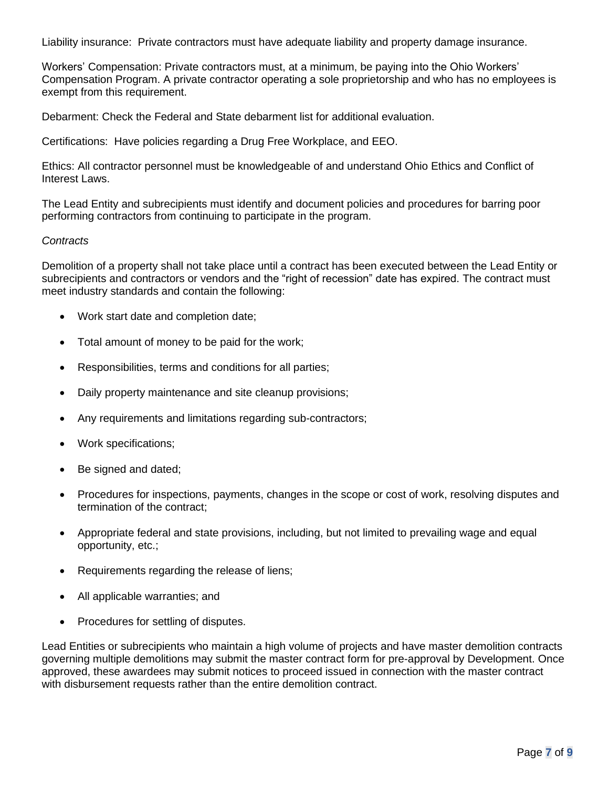Liability insurance: Private contractors must have adequate liability and property damage insurance.

Workers' Compensation: Private contractors must, at a minimum, be paying into the Ohio Workers' Compensation Program. A private contractor operating a sole proprietorship and who has no employees is exempt from this requirement.

Debarment: Check the Federal and State debarment list for additional evaluation.

Certifications: Have policies regarding a Drug Free Workplace, and EEO.

Ethics: All contractor personnel must be knowledgeable of and understand Ohio Ethics and Conflict of Interest Laws.

The Lead Entity and subrecipients must identify and document policies and procedures for barring poor performing contractors from continuing to participate in the program.

#### *Contracts*

Demolition of a property shall not take place until a contract has been executed between the Lead Entity or subrecipients and contractors or vendors and the "right of recession" date has expired. The contract must meet industry standards and contain the following:

- Work start date and completion date;
- Total amount of money to be paid for the work;
- Responsibilities, terms and conditions for all parties;
- Daily property maintenance and site cleanup provisions;
- Any requirements and limitations regarding sub-contractors;
- Work specifications;
- Be signed and dated;
- Procedures for inspections, payments, changes in the scope or cost of work, resolving disputes and termination of the contract;
- Appropriate federal and state provisions, including, but not limited to prevailing wage and equal opportunity, etc.;
- Requirements regarding the release of liens;
- All applicable warranties; and
- Procedures for settling of disputes.

Lead Entities or subrecipients who maintain a high volume of projects and have master demolition contracts governing multiple demolitions may submit the master contract form for pre-approval by Development. Once approved, these awardees may submit notices to proceed issued in connection with the master contract with disbursement requests rather than the entire demolition contract.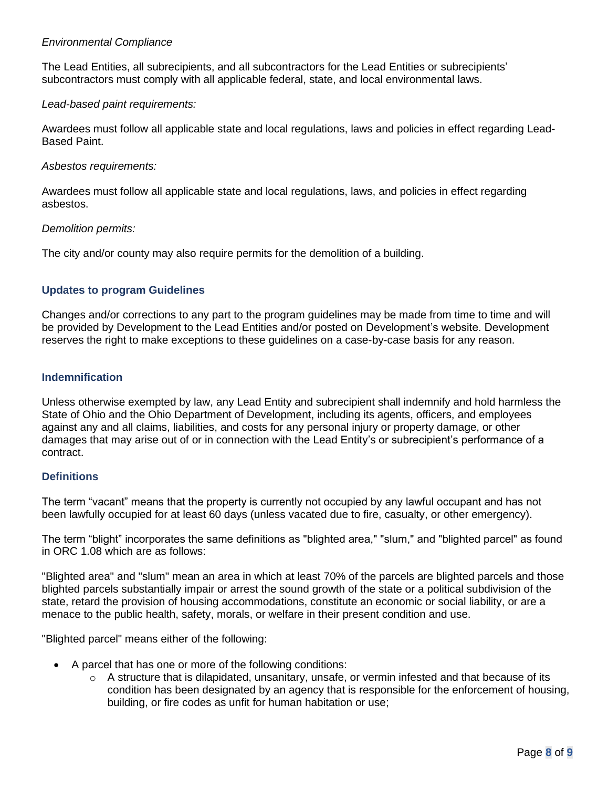#### *Environmental Compliance*

The Lead Entities, all subrecipients, and all subcontractors for the Lead Entities or subrecipients' subcontractors must comply with all applicable federal, state, and local environmental laws.

#### *Lead-based paint requirements:*

Awardees must follow all applicable state and local regulations, laws and policies in effect regarding Lead-Based Paint.

#### *Asbestos requirements:*

Awardees must follow all applicable state and local regulations, laws, and policies in effect regarding asbestos.

#### *Demolition permits:*

The city and/or county may also require permits for the demolition of a building.

# **Updates to program Guidelines**

Changes and/or corrections to any part to the program guidelines may be made from time to time and will be provided by Development to the Lead Entities and/or posted on Development's website. Development reserves the right to make exceptions to these guidelines on a case-by-case basis for any reason.

#### **Indemnification**

Unless otherwise exempted by law, any Lead Entity and subrecipient shall indemnify and hold harmless the State of Ohio and the Ohio Department of Development, including its agents, officers, and employees against any and all claims, liabilities, and costs for any personal injury or property damage, or other damages that may arise out of or in connection with the Lead Entity's or subrecipient's performance of a contract.

# **Definitions**

The term "vacant" means that the property is currently not occupied by any lawful occupant and has not been lawfully occupied for at least 60 days (unless vacated due to fire, casualty, or other emergency).

The term "blight" incorporates the same definitions as "blighted area," "slum," and "blighted parcel" as found in ORC 1.08 which are as follows:

"Blighted area" and "slum" mean an area in which at least 70% of the parcels are blighted parcels and those blighted parcels substantially impair or arrest the sound growth of the state or a political subdivision of the state, retard the provision of housing accommodations, constitute an economic or social liability, or are a menace to the public health, safety, morals, or welfare in their present condition and use.

"Blighted parcel" means either of the following:

- A parcel that has one or more of the following conditions:
	- $\circ$  A structure that is dilapidated, unsanitary, unsafe, or vermin infested and that because of its condition has been designated by an agency that is responsible for the enforcement of housing, building, or fire codes as unfit for human habitation or use;